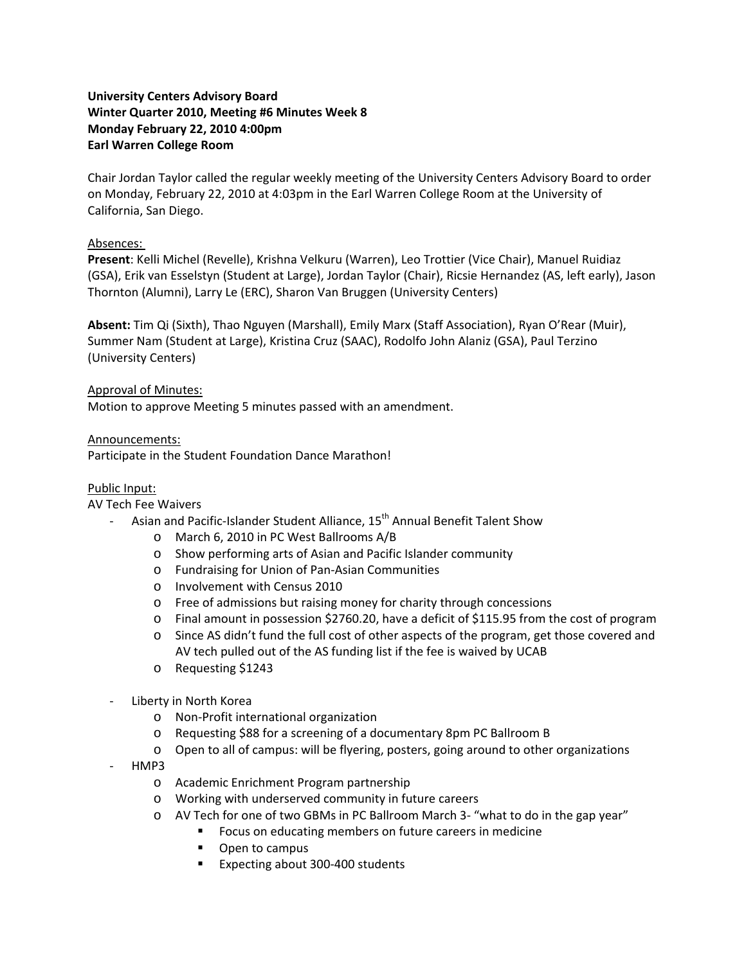# **University Centers Advisory Board Winter Quarter 2010, Meeting #6 Minutes Week 8 Monday February 22, 2010 4:00pm Earl Warren College Room**

Chair Jordan Taylor called the regular weekly meeting of the University Centers Advisory Board to order on Monday, February 22, 2010 at 4:03pm in the Earl Warren College Room at the University of California, San Diego.

# Absences:

**Present**: Kelli Michel (Revelle), Krishna Velkuru (Warren), Leo Trottier (Vice Chair), Manuel Ruidiaz (GSA), Erik van Esselstyn (Student at Large), Jordan Taylor (Chair), Ricsie Hernandez (AS, left early), Jason Thornton (Alumni), Larry Le (ERC), Sharon Van Bruggen (University Centers)

**Absent:** Tim Qi (Sixth), Thao Nguyen (Marshall), Emily Marx (Staff Association), Ryan O'Rear (Muir), Summer Nam (Student at Large), Kristina Cruz (SAAC), Rodolfo John Alaniz (GSA), Paul Terzino (University Centers)

#### Approval of Minutes:

Motion to approve Meeting 5 minutes passed with an amendment.

#### Announcements:

Participate in the Student Foundation Dance Marathon!

### Public Input:

#### AV Tech Fee Waivers

- Asian and Pacific-Islander Student Alliance, 15<sup>th</sup> Annual Benefit Talent Show
	- o March 6, 2010 in PC West Ballrooms A/B
	- o Show performing arts of Asian and Pacific Islander community
	- o Fundraising for Union of Pan‐Asian Communities
	- o Involvement with Census 2010
	- o Free of admissions but raising money for charity through concessions
	- o Final amount in possession \$2760.20, have a deficit of \$115.95 from the cost of program
	- o Since AS didn't fund the full cost of other aspects of the program, get those covered and AV tech pulled out of the AS funding list if the fee is waived by UCAB
	- o Requesting \$1243
- ‐ Liberty in North Korea
	- o Non‐Profit international organization
	- o Requesting \$88 for a screening of a documentary 8pm PC Ballroom B
	- o Open to all of campus: will be flyering, posters, going around to other organizations
- ‐ HMP3
	- o Academic Enrichment Program partnership
	- o Working with underserved community in future careers
	- o AV Tech for one of two GBMs in PC Ballroom March 3‐ "what to do in the gap year"
		- Focus on educating members on future careers in medicine
		- Open to campus
		- Expecting about 300-400 students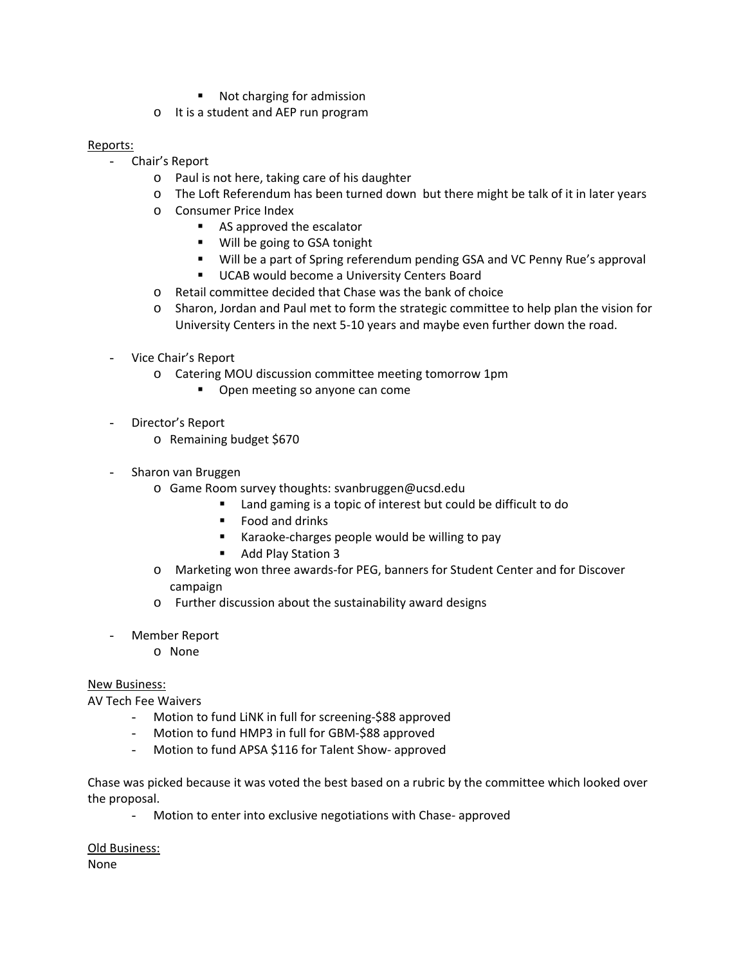- Not charging for admission
- o It is a student and AEP run program

### Reports:

- Chair's Report
	- o Paul is not here, taking care of his daughter
	- o The Loft Referendum has been turned down but there might be talk of it in later years
	- o Consumer Price Index
		- **AS approved the escalator**
		- Will be going to GSA tonight
		- Will be a part of Spring referendum pending GSA and VC Penny Rue's approval
		- **UCAB would become a University Centers Board**
	- o Retail committee decided that Chase was the bank of choice
	- o Sharon, Jordan and Paul met to form the strategic committee to help plan the vision for University Centers in the next 5‐10 years and maybe even further down the road.
- Vice Chair's Report
	- o Catering MOU discussion committee meeting tomorrow 1pm
		- **•** Open meeting so anyone can come
- Director's Report
	- o Remaining budget \$670
- Sharon van Bruggen
	- o Game Room survey thoughts: svanbruggen@ucsd.edu
		- Land gaming is a topic of interest but could be difficult to do
		- Food and drinks
		- Karaoke-charges people would be willing to pay
		- Add Play Station 3
	- o Marketing won three awards‐for PEG, banners for Student Center and for Discover campaign
	- o Further discussion about the sustainability award designs
- Member Report
	- o None

# New Business:

AV Tech Fee Waivers

- Motion to fund LiNK in full for screening‐\$88 approved
- Motion to fund HMP3 in full for GBM-\$88 approved
- Motion to fund APSA \$116 for Talent Show‐ approved

Chase was picked because it was voted the best based on a rubric by the committee which looked over the proposal.

- Motion to enter into exclusive negotiations with Chase‐ approved

Old Business: None